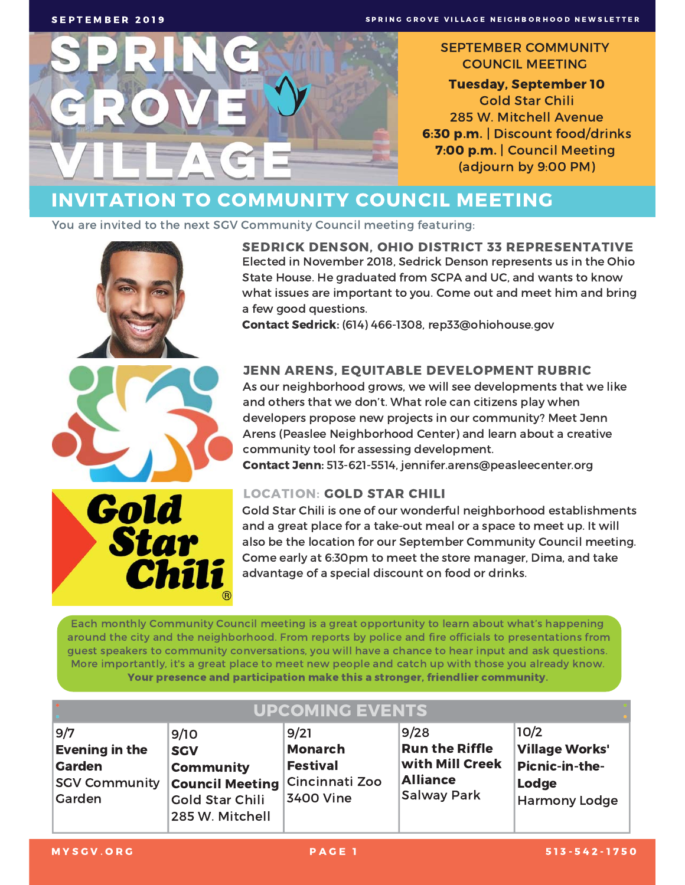

#### **SEPTEMBER COMMUNITY COUNCIL MEETING**

**Tuesday, September 10 Gold Star Chili** 285 W. Mitchell Avenue 6:30 p.m. | Discount food/drinks 7:00 p.m. | Council Meeting (adjourn by 9:00 PM)

#### **INVITATION TO COMMUNITY COUNCIL MEETING**

You are invited to the next SGV Community Council meeting featuring:



**SEDRICK DENSON. OHIO DISTRICT 33 REPRESENTATIVE** Elected in November 2018, Sedrick Denson represents us in the Ohio State House. He graduated from SCPA and UC, and wants to know what issues are important to you. Come out and meet him and bring a few good questions.

Contact Sedrick: (614) 466-1308, rep33@ohiohouse.gov

#### **JENN ARENS, EQUITABLE DEVELOPMENT RUBRIC**

As our neighborhood grows, we will see developments that we like and others that we don't. What role can citizens play when developers propose new projects in our community? Meet Jenn Arens (Peaslee Neighborhood Center) and learn about a creative community tool for assessing development.

Contact Jenn: 513-621-5514, jennifer.arens@peasleecenter.org

#### **LOCATION: GOLD STAR CHILI**

Gold Star Chili is one of our wonderful neighborhood establishments and a great place for a take-out meal or a space to meet up. It will also be the location for our September Community Council meeting. Come early at 6:30pm to meet the store manager, Dima, and take advantage of a special discount on food or drinks.

Each monthly Community Council meeting is a great opportunity to learn about what's happening around the city and the neighborhood. From reports by police and fire officials to presentations from guest speakers to community conversations, you will have a chance to hear input and ask questions. More importantly, it's a great place to meet new people and catch up with those you already know. Your presence and participation make this a stronger, friendlier community.

| <b>UPCOMING EVENTS</b>                                                                 |                                                                                                                              |                                                        |                                                                                           |                                                                                  |  |
|----------------------------------------------------------------------------------------|------------------------------------------------------------------------------------------------------------------------------|--------------------------------------------------------|-------------------------------------------------------------------------------------------|----------------------------------------------------------------------------------|--|
| 9/7<br><b>Evening in the</b><br><b>Garden</b><br><b>SGV Community</b><br><b>Garden</b> | 9/10<br><b>SGV</b><br><b>Community</b><br><b>Council Meeting Cincinnati Zoo</b><br><b>Gold Star Chili</b><br>285 W. Mitchell | 9/21<br><b>Monarch</b><br><b>Festival</b><br>3400 Vine | 9/28<br><b>Run the Riffle</b><br>with Mill Creek<br><b>Alliance</b><br><b>Salway Park</b> | 10/2<br><b>Village Works'</b><br>Picnic-in-the-<br>Lodge<br><b>Harmony Lodge</b> |  |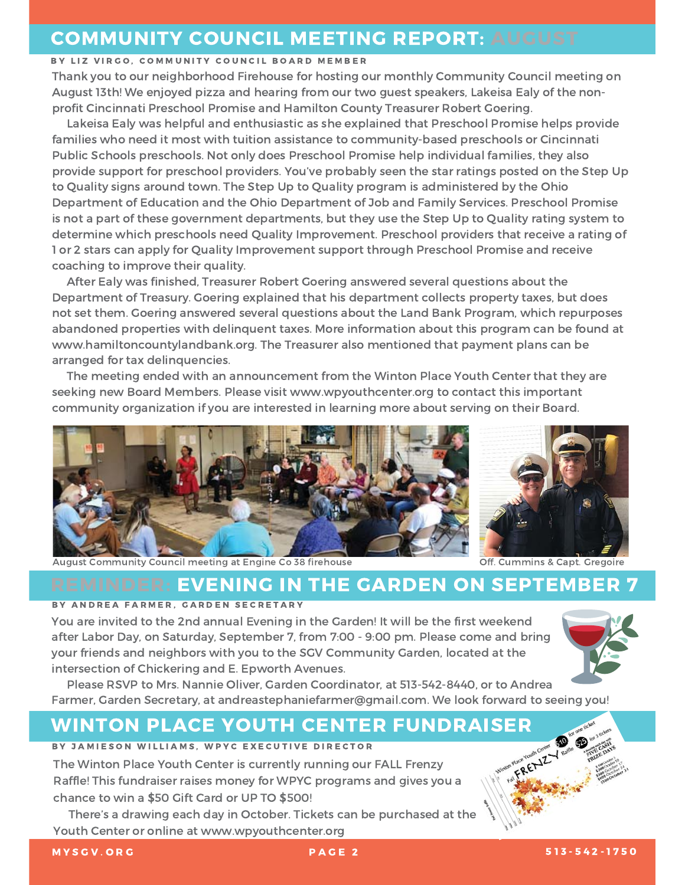#### **COMMUNITY COUNCIL MEETING REPORT: AUGUST**

#### BY LIZ VIRGO, COMMUNITY COUNCIL BOARD MEMBER

Thank you to our neighborhood Firehouse for hosting our monthly Community Council meeting on August 13th! We enjoyed pizza and hearing from our two guest speakers, Lakeisa Ealy of the nonprofit Cincinnati Preschool Promise and Hamilton County Treasurer Robert Goering.

Lakeisa Ealy was helpful and enthusiastic as she explained that Preschool Promise helps provide families who need it most with tuition assistance to community-based preschools or Cincinnati Public Schools preschools. Not only does Preschool Promise help individual families, they also provide support for preschool providers. You've probably seen the star ratings posted on the Step Up to Quality signs around town. The Step Up to Quality program is administered by the Ohio Department of Education and the Ohio Department of Job and Family Services. Preschool Promise is not a part of these government departments, but they use the Step Up to Quality rating system to determine which preschools need Quality Improvement. Preschool providers that receive a rating of 1 or 2 stars can apply for Quality Improvement support through Preschool Promise and receive coaching to improve their quality.

After Ealy was finished, Treasurer Robert Goering answered several questions about the Department of Treasury. Goering explained that his department collects property taxes, but does not set them. Goering answered several questions about the Land Bank Program, which repurposes abandoned properties with delinquent taxes. More information about this program can be found at www.hamiltoncountylandbank.org. The Treasurer also mentioned that payment plans can be arranged for tax delinquencies.

The meeting ended with an announcement from the Winton Place Youth Center that they are seeking new Board Members. Please visit www.wpyouthcenter.org to contact this important community organization if you are interested in learning more about serving on their Board.



![](_page_1_Picture_7.jpeg)

August Community Council meeting at Engine Co 38 firehouse

Off. Cummins & Capt. Gregoire

#### **REMINDER: EVENING IN THE GARDEN ON SEPTEMBER 7**

#### BY ANDREA FARMER, GARDEN SECRETARY

You are invited to the 2nd annual Evening in the Garden! It will be the first weekend after Labor Day, on Saturday, September 7, from 7:00 - 9:00 pm. Please come and bring your friends and neighbors with you to the SGV Community Garden, located at the intersection of Chickering and E. Epworth Avenues.

![](_page_1_Picture_13.jpeg)

Please RSVP to Mrs. Nannie Oliver, Garden Coordinator, at 513-542-8440, or to Andrea Farmer, Garden Secretary, at andreastephaniefarmer@gmail.com. We look forward to seeing you!

#### **WINTON PLACE YOUTH CENTER FUNDRAISER**

#### BY JAMIESON WILLIAMS, WPYC EXECUTIVE DIRECTOR

The Winton Place Youth Center is currently running our FALL Frenzy Raffle! This fundraiser raises money for WPYC programs and gives you a chance to win a \$50 Gift Card or UP TO \$500!

There's a drawing each day in October. Tickets can be purchased at the Youth Center or online at www.wpyouthcenter.org

![](_page_1_Picture_20.jpeg)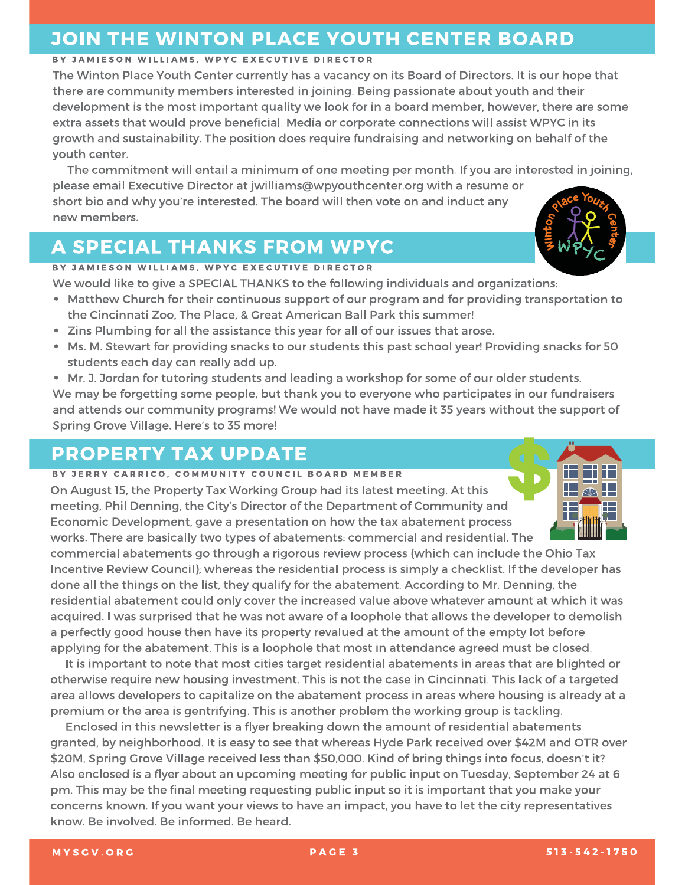#### **JOIN THE WINTON PLACE YOUTH CENTER BOARD**

#### BY JAMIESON WILLIAMS, WPYC EXECUTIVE DIRECTOR

The Winton Place Youth Center currently has a vacancy on its Board of Directors. It is our hope that there are community members interested in joining. Being passionate about youth and their development is the most important quality we look for in a board member, however, there are some extra assets that would prove beneficial. Media or corporate connections will assist WPYC in its growth and sustainability. The position does require fundraising and networking on behalf of the youth center.

The commitment will entail a minimum of one meeting per month. If you are interested in joining, please email Executive Director at jwilliams@wpyouthcenter.org with a resume or short bio and why you're interested. The board will then vote on and induct any new members.

#### **A SPECIAL THANKS FROM WPYC**

#### BY JAMIESON WILLIAMS, WPYC EXECUTIVE DIRECTOR

We would like to give a SPECIAL THANKS to the following individuals and organizations:

- Matthew Church for their continuous support of our program and for providing transportation to the Cincinnati Zoo, The Place, & Great American Ball Park this summer!
- Zins Plumbing for all the assistance this year for all of our issues that arose.
- Ms. M. Stewart for providing snacks to our students this past school year! Providing snacks for 50 students each day can really add up.
- Mr. J. Jordan for tutoring students and leading a workshop for some of our older students. We may be forgetting some people, but thank you to everyone who participates in our fundraisers and attends our community programs! We would not have made it 35 years without the support of Spring Grove Village. Here's to 35 more!

#### **PROPERTY TAX UPDATE**

#### BY JERRY CARRICO, COMMUNITY COUNCIL BOARD MEMBER

On August 15, the Property Tax Working Group had its latest meeting. At this meeting, Phil Denning, the City's Director of the Department of Community and Economic Development, gave a presentation on how the tax abatement process works. There are basically two types of abatements: commercial and residential. The

commercial abatements go through a rigorous review process (which can include the Ohio Tax Incentive Review Council); whereas the residential process is simply a checklist. If the developer has done all the things on the list, they qualify for the abatement. According to Mr. Denning, the residential abatement could only cover the increased value above whatever amount at which it was acquired. I was surprised that he was not aware of a loophole that allows the developer to demolish a perfectly good house then have its property revalued at the amount of the empty lot before applying for the abatement. This is a loophole that most in attendance agreed must be closed.

It is important to note that most cities target residential abatements in areas that are blighted or otherwise require new housing investment. This is not the case in Cincinnati. This lack of a targeted area allows developers to capitalize on the abatement process in areas where housing is already at a premium or the area is gentrifying. This is another problem the working group is tackling.

Enclosed in this newsletter is a flyer breaking down the amount of residential abatements granted, by neighborhood. It is easy to see that whereas Hyde Park received over \$42M and OTR over \$20M, Spring Grove Village received less than \$50,000. Kind of bring things into focus, doesn't it? Also enclosed is a flyer about an upcoming meeting for public input on Tuesday, September 24 at 6 pm. This may be the final meeting requesting public input so it is important that you make your concerns known. If you want your views to have an impact, you have to let the city representatives know. Be involved. Be informed. Be heard.

![](_page_2_Picture_20.jpeg)

![](_page_2_Picture_21.jpeg)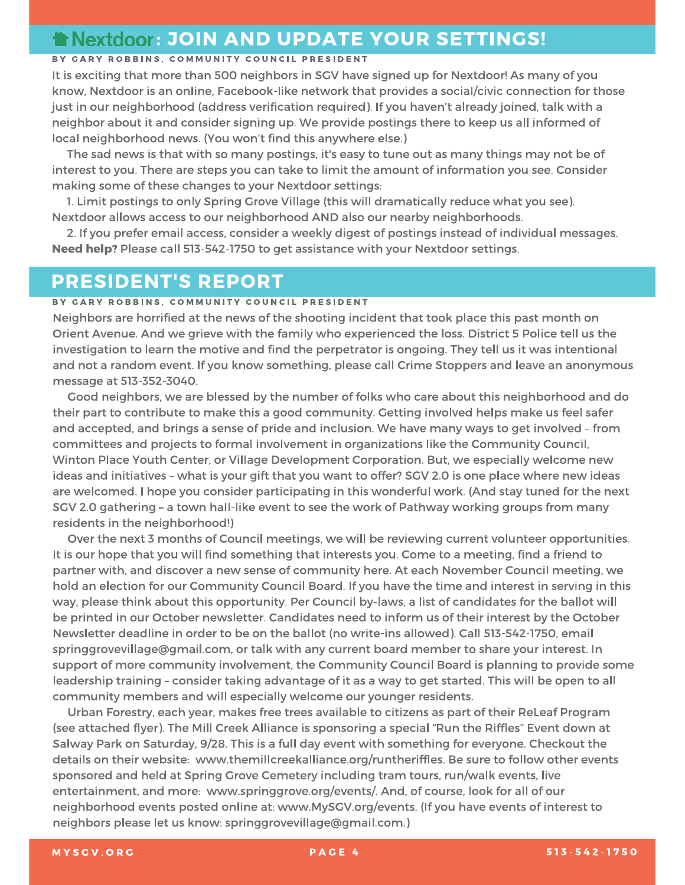#### **TNexidoor: JOIN AND UPDATE YOUR SETTINGS!**

#### BY GARY ROBBINS, COMMUNITY COUNCIL PRESIDENT

It is exciting that more than 500 neighbors in SGV have signed up for Nextdoor! As many of you know, Nextdoor is an online, Facebook-like network that provides a social/civic connection for those just in our neighborhood (address verification required). If you haven't already joined, talk with a neighbor about it and consider signing up. We provide postings there to keep us all informed of local neighborhood news. (You won't find this anywhere else.)

The sad news is that with so many postings, it's easy to tune out as many things may not be of interest to you. There are steps you can take to limit the amount of information you see. Consider making some of these changes to your Nextdoor settings:

1. Limit postings to only Spring Grove Village (this will dramatically reduce what you see). Nextdoor allows access to our neighborhood AND also our nearby neighborhoods.

2. If you prefer email access, consider a weekly digest of postings instead of individual messages. Need help? Please call 513-542-1750 to get assistance with your Nextdoor settings.

#### **PRESIDENT'S REPORT**

#### BY GARY ROBBINS, COMMUNITY COUNCIL PRESIDENT

Neighbors are horrified at the news of the shooting incident that took place this past month on Orient Avenue. And we grieve with the family who experienced the loss. District 5 Police tell us the investigation to learn the motive and find the perpetrator is ongoing. They tell us it was intentional and not a random event. If you know something, please call Crime Stoppers and leave an anonymous message at 513-352-3040.

Good neighbors, we are blessed by the number of folks who care about this neighborhood and do their part to contribute to make this a good community. Getting involved helps make us feel safer and accepted, and brings a sense of pride and inclusion. We have many ways to get involved - from committees and projects to formal involvement in organizations like the Community Council, Winton Place Youth Center, or Village Development Corporation. But, we especially welcome new ideas and initiatives - what is your gift that you want to offer? SGV 2.0 is one place where new ideas are welcomed. I hope you consider participating in this wonderful work. (And stay tuned for the next SGV 2.0 gathering - a town hall-like event to see the work of Pathway working groups from many residents in the neighborhood!)

Over the next 3 months of Council meetings, we will be reviewing current volunteer opportunities. It is our hope that you will find something that interests you. Come to a meeting, find a friend to partner with, and discover a new sense of community here. At each November Council meeting, we hold an election for our Community Council Board. If you have the time and interest in serving in this way, please think about this opportunity. Per Council by-laws, a list of candidates for the ballot will be printed in our October newsletter. Candidates need to inform us of their interest by the October Newsletter deadline in order to be on the ballot (no write-ins allowed). Call 513-542-1750, email springgrovevillage@gmail.com, or talk with any current board member to share your interest. In support of more community involvement, the Community Council Board is planning to provide some leadership training - consider taking advantage of it as a way to get started. This will be open to all community members and will especially welcome our younger residents.

Urban Forestry, each year, makes free trees available to citizens as part of their ReLeaf Program (see attached flyer). The Mill Creek Alliance is sponsoring a special "Run the Riffles" Event down at Salway Park on Saturday, 9/28. This is a full day event with something for everyone. Checkout the details on their website: www.themillcreekalliance.org/runtheriffles. Be sure to follow other events sponsored and held at Spring Grove Cemetery including tram tours, run/walk events, live entertainment, and more: www.springgrove.org/events/. And, of course, look for all of our neighborhood events posted online at: www.MySGV.org/events. (If you have events of interest to neighbors please let us know: springgrovevillage@gmail.com.)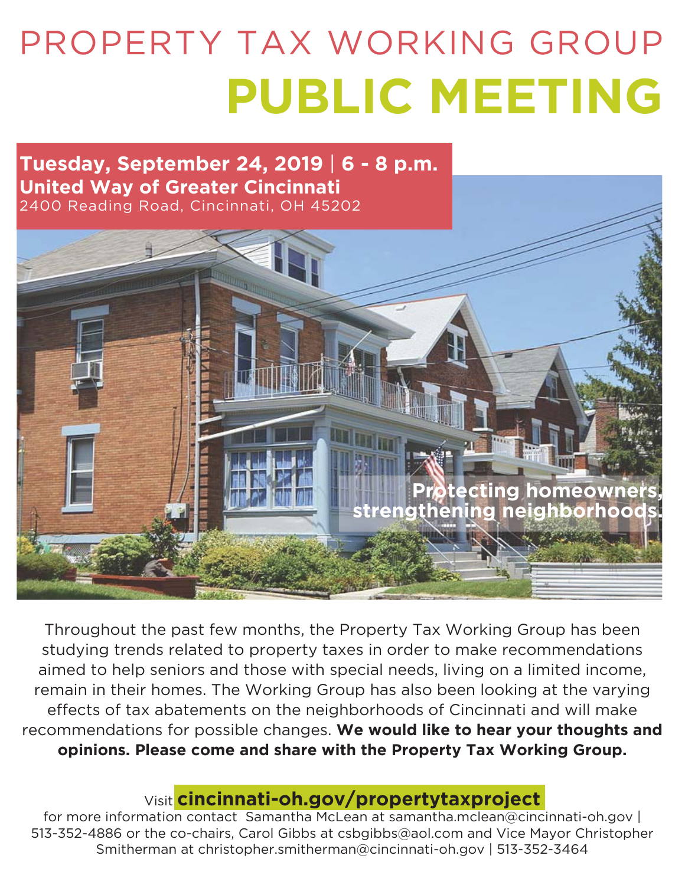# PROPERTY TAX WORKING GROUP **PUBLIC MEETING**

#### **Tuesday, September 24, 2019** | **6 - 8 p.m. United Way of Greater Cincinnati** 2400 Reading Road, Cincinnati, OH 45202

![](_page_4_Picture_2.jpeg)

Throughout the past few months, the Property Tax Working Group has been studying trends related to property taxes in order to make recommendations aimed to help seniors and those with special needs, living on a limited income, remain in their homes. The Working Group has also been looking at the varying effects of tax abatements on the neighborhoods of Cincinnati and will make recommendations for possible changes. **We would like to hear your thoughts and opinions. Please come and share with the Property Tax Working Group.**

#### Visit **cincinnati-oh.gov/propertytaxproject**

for more information contact Samantha McLean at samantha.mclean@cincinnati-oh.gov | 513-352-4886 or the co-chairs, Carol Gibbs at csbgibbs@aol.com and Vice Mayor Christopher Smitherman at christopher.smitherman@cincinnati-oh.gov | 513-352-3464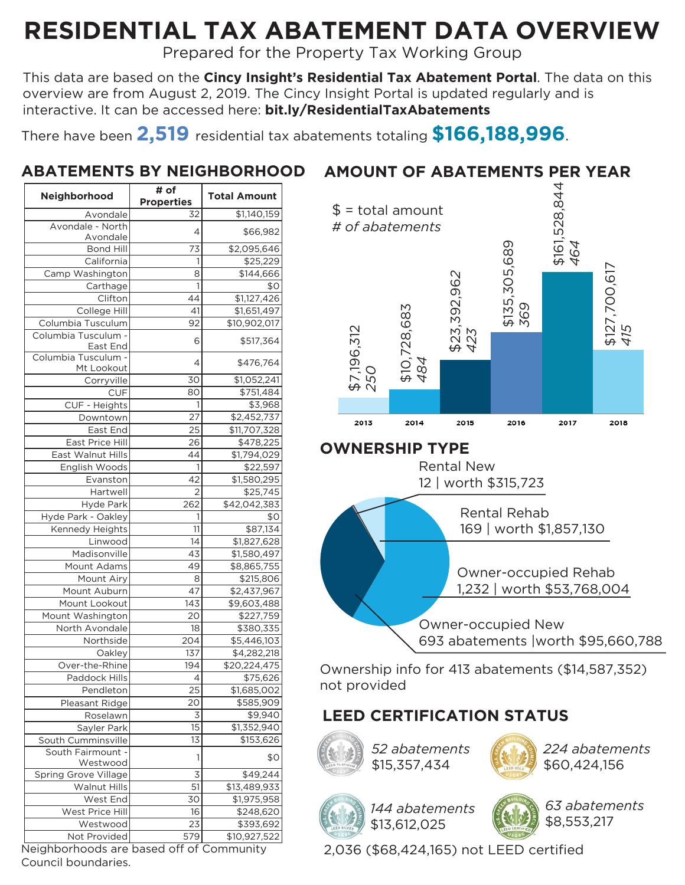## **RESIDENTIAL TAX ABATEMENT DATA OVERVIEW**

Prepared for the Property Tax Working Group

This data are based on the **Cincy Insight's Residential Tax Abatement Portal**. The data on this overview are from August 2, 2019. The Cincy Insight Portal is updated regularly and is interactive. It can be accessed here: **bit.ly/ResidentialTaxAbatements**

There have been **2,519** residential tax abatements totaling **\$166,188,996**.

#### **ABATEMENTS BY NEIGHBORHOOD**

| Neighborhood                                             | # of              | <b>Total Amount</b> |  |
|----------------------------------------------------------|-------------------|---------------------|--|
|                                                          | <b>Properties</b> |                     |  |
| Avondale                                                 | 32                | \$1,140,159         |  |
| Avondale - North<br>Avondale                             | 4                 | \$66,982            |  |
| <b>Bond Hill</b>                                         | 73                | \$2,095,646         |  |
| California                                               | 1                 | \$25,229            |  |
| Camp Washington                                          | 8                 | \$144,666           |  |
| Carthage                                                 | 1                 | \$0                 |  |
| Clifton                                                  | 44                | \$1,127,426         |  |
|                                                          | 41                |                     |  |
| College Hill                                             |                   | \$1,651,497         |  |
| Columbia Tusculum<br>Columbia Tusculum -                 | 92                | \$10,902,017        |  |
| East End                                                 | 6                 | \$517,364           |  |
| Columbia Tusculum -                                      |                   |                     |  |
| Mt Lookout                                               | 4                 | \$476,764           |  |
| Corryville                                               | 30                | \$1,052,241         |  |
| CUF                                                      | 80                | \$751,484           |  |
| CUF - Heights                                            | 1                 | \$3,968             |  |
| Downtown                                                 | 27                | \$2,452,737         |  |
| East End                                                 | 25                | \$11,707,328        |  |
| East Price Hill                                          | 26                | \$478,225           |  |
| East Walnut Hills                                        | 44                | \$1,794,029         |  |
| English Woods                                            | 1                 | \$22,597            |  |
| Evanston                                                 | 42                | \$1,580,295         |  |
| Hartwell                                                 | $\overline{2}$    | \$25,745            |  |
| <b>Hyde Park</b>                                         | 262               | \$42,042,383        |  |
| Hyde Park - Oakley                                       | 1                 | \$0                 |  |
| Kennedy Heights                                          | 11                | \$87,134            |  |
| Linwood                                                  | 14                | \$1,827,628         |  |
| Madisonville                                             | 43                | \$1,580,497         |  |
| Mount Adams                                              | 49                | \$8,865,755         |  |
| Mount Airy                                               | 8                 | \$215,806           |  |
| Mount Auburn                                             | 47                | \$2,437,967         |  |
| Mount Lookout                                            | 143               | \$9,603,488         |  |
| Mount Washington                                         | 20                | \$227,759           |  |
| North Avondale                                           | 18                | \$380,335           |  |
| Northside                                                | 204               | \$5,446,103         |  |
| Oaklev                                                   | 137               | \$4,282,218         |  |
| Over-the-Rhine                                           | 194               | \$20,224,475        |  |
|                                                          |                   |                     |  |
| Paddock Hills                                            | 4                 | \$75,626            |  |
| Pendleton                                                | 25                | \$1,685,002         |  |
| Pleasant Ridge                                           | 20                | \$585,909           |  |
| Roselawn                                                 | 3                 | \$9,940             |  |
| Sayler Park                                              | 15                | \$1,352,940         |  |
| South Cumminsville                                       | 13                | \$153,626           |  |
| South Fairmount -<br>Westwood                            | 1                 | \$0                 |  |
| Spring Grove Village                                     | 3                 | \$49,244            |  |
| <b>Walnut Hills</b>                                      | 51                | \$13,489,933        |  |
| West End                                                 | 30                | \$1,975,958         |  |
| West Price Hill                                          | 16                | \$248,620           |  |
| Westwood                                                 | 23                |                     |  |
|                                                          |                   | \$393,692           |  |
| Not Provided<br>Neighborhoods are based off of Community | 579               | \$10,927,522        |  |

#### **AMOUNT OF ABATEMENTS PER YEAR**

![](_page_5_Figure_7.jpeg)

![](_page_5_Figure_8.jpeg)

Ownership info for 413 abatements (\$14,587,352) not provided

#### **LEED CERTIFICATION STATUS**

![](_page_5_Picture_11.jpeg)

*52 abatements* \$15,357,434

![](_page_5_Picture_13.jpeg)

*224 abatements* \$60,424,156

![](_page_5_Picture_15.jpeg)

*144 abatements* \$13,612,025

*63 abatements* \$8,553,217

2,036 (\$68,424,165) not LEED certified

Council boundaries.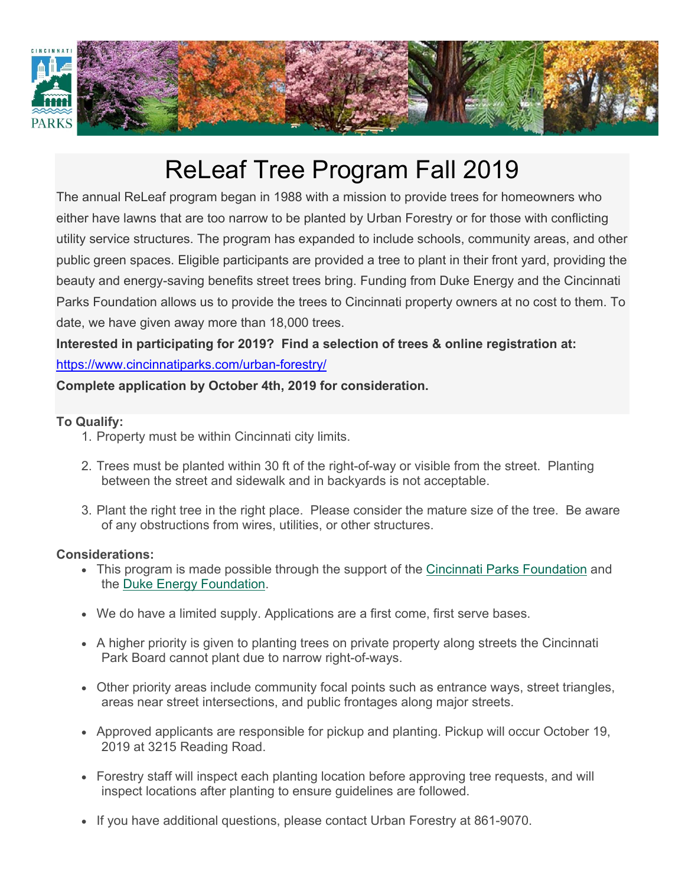![](_page_6_Picture_0.jpeg)

### ReLeaf Tree Program Fall 2019

The annual ReLeaf program began in 1988 with a mission to provide trees for homeowners who either have lawns that are too narrow to be planted by Urban Forestry or for those with conflicting utility service structures. The program has expanded to include schools, community areas, and other public green spaces. Eligible participants are provided a tree to plant in their front yard, providing the beauty and energy-saving benefits street trees bring. Funding from Duke Energy and the Cincinnati Parks Foundation allows us to provide the trees to Cincinnati property owners at no cost to them. To date, we have given away more than 18,000 trees.

**Interested in participating for 2019? Find a selection of trees & online registration at:**  https://www.cincinnatiparks.com/urban-forestry/

#### **Complete application by October 4th, 2019 for consideration.**

#### **To Qualify:**

- 1. Property must be within Cincinnati city limits.
- 2. Trees must be planted within 30 ft of the right-of-way or visible from the street. Planting between the street and sidewalk and in backyards is not acceptable.
- 3. Plant the right tree in the right place. Please consider the mature size of the tree. Be aware of any obstructions from wires, utilities, or other structures.

#### **Considerations:**

- This program is made possible through the support of the Cincinnati Parks Foundation and the Duke Energy Foundation.
- We do have a limited supply. Applications are a first come, first serve bases.
- A higher priority is given to planting trees on private property along streets the Cincinnati Park Board cannot plant due to narrow right-of-ways.
- Other priority areas include community focal points such as entrance ways, street triangles, areas near street intersections, and public frontages along major streets.
- Approved applicants are responsible for pickup and planting. Pickup will occur October 19, 2019 at 3215 Reading Road.
- Forestry staff will inspect each planting location before approving tree requests, and will inspect locations after planting to ensure guidelines are followed.
- If you have additional questions, please contact Urban Forestry at 861-9070.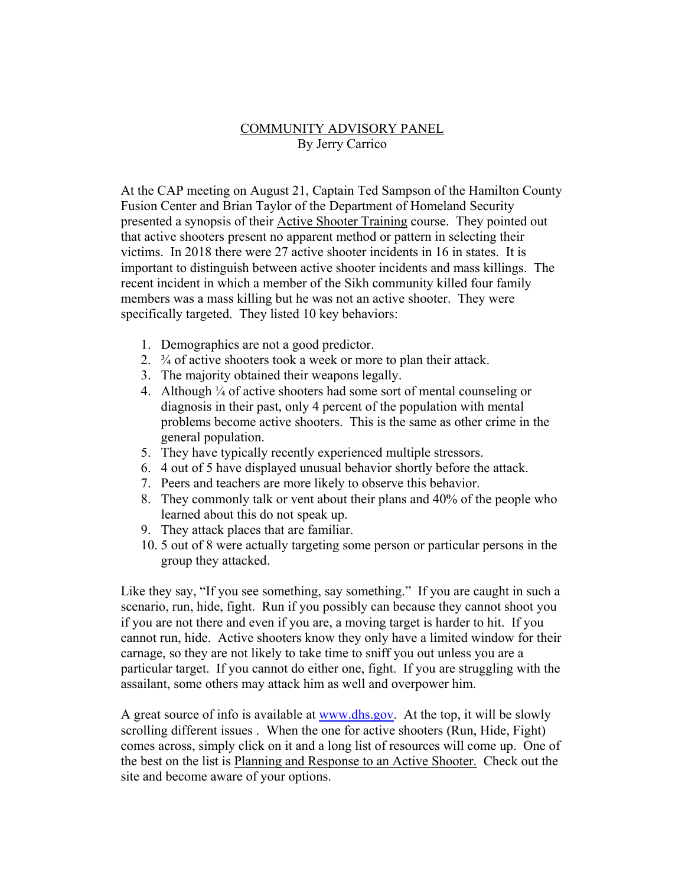#### COMMUNITY ADVISORY PANEL By Jerry Carrico

At the CAP meeting on August 21, Captain Ted Sampson of the Hamilton County Fusion Center and Brian Taylor of the Department of Homeland Security presented a synopsis of their Active Shooter Training course. They pointed out that active shooters present no apparent method or pattern in selecting their victims. In 2018 there were 27 active shooter incidents in 16 in states. It is important to distinguish between active shooter incidents and mass killings. The recent incident in which a member of the Sikh community killed four family members was a mass killing but he was not an active shooter. They were specifically targeted. They listed 10 key behaviors:

- 1. Demographics are not a good predictor.
- 2. ¾ of active shooters took a week or more to plan their attack.
- 3. The majority obtained their weapons legally.
- 4. Although  $\frac{1}{4}$  of active shooters had some sort of mental counseling or diagnosis in their past, only 4 percent of the population with mental problems become active shooters. This is the same as other crime in the general population.
- 5. They have typically recently experienced multiple stressors.
- 6. 4 out of 5 have displayed unusual behavior shortly before the attack.
- 7. Peers and teachers are more likely to observe this behavior.
- 8. They commonly talk or vent about their plans and 40% of the people who learned about this do not speak up.
- 9. They attack places that are familiar.
- 10. 5 out of 8 were actually targeting some person or particular persons in the group they attacked.

Like they say, "If you see something, say something." If you are caught in such a scenario, run, hide, fight. Run if you possibly can because they cannot shoot you if you are not there and even if you are, a moving target is harder to hit. If you cannot run, hide. Active shooters know they only have a limited window for their carnage, so they are not likely to take time to sniff you out unless you are a particular target. If you cannot do either one, fight. If you are struggling with the assailant, some others may attack him as well and overpower him.

A great source of info is available at www.dhs.gov. At the top, it will be slowly scrolling different issues . When the one for active shooters (Run, Hide, Fight) comes across, simply click on it and a long list of resources will come up. One of the best on the list is Planning and Response to an Active Shooter. Check out the site and become aware of your options.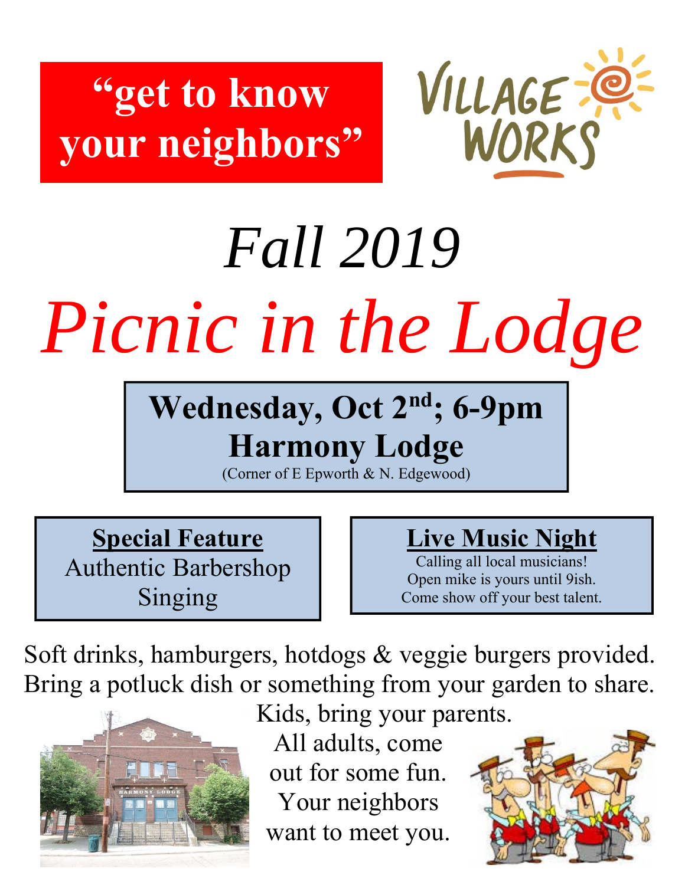## **"get to know your neighbors"**

![](_page_8_Picture_1.jpeg)

# *Fall 2019 Picnic in the Lodge*

## **Wednesday, Oct 2nd; 6-9pm Harmony Lodge**

(Corner of E Epworth & N. Edgewood)

**Special Feature**  Authentic Barbershop Singing

## **Live Music Night**

Calling all local musicians! Open mike is yours until 9ish. Come show off your best talent.

Soft drinks, hamburgers, hotdogs & veggie burgers provided. Bring a potluck dish or something from your garden to share.

![](_page_8_Picture_9.jpeg)

Kids, bring your parents.

All adults, come out for some fun. Your neighbors want to meet you.

![](_page_8_Picture_12.jpeg)